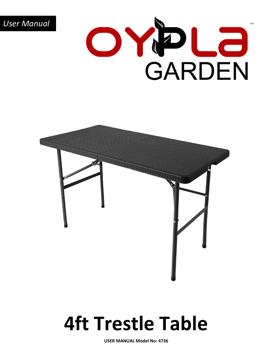

## **4ft Trestle Table**

**USER MANUAL Model No: 4736**